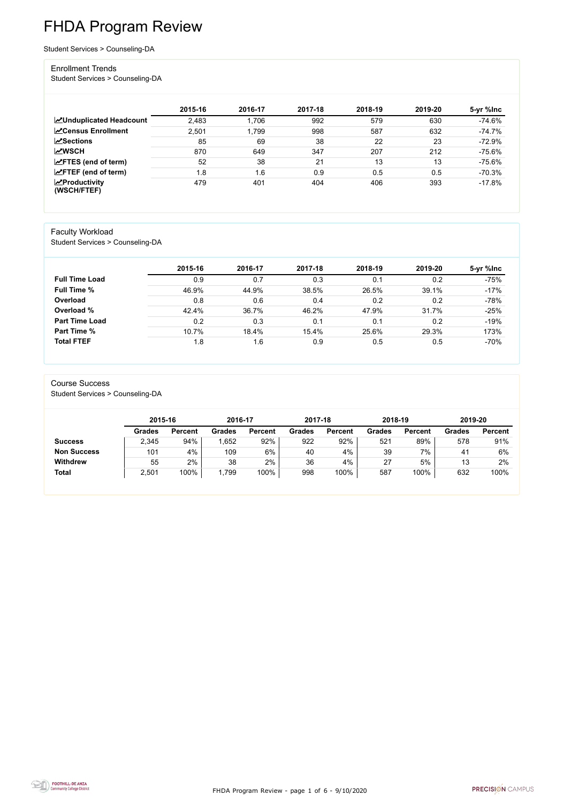FHDA Program Review - page 1 of 6 - 9/10/2020



# FHDA Program Review

Student Services > Counseling-DA

#### Enrollment Trends

Student Services > Counseling-DA

|                                    | 2015-16 | 2016-17 | 2017-18 | 2018-19 | 2019-20 | 5-yr %lnc |
|------------------------------------|---------|---------|---------|---------|---------|-----------|
| <b>ZUnduplicated Headcount</b>     | 2,483   | .706،   | 992     | 579     | 630     | $-74.6%$  |
| <b>∠</b> Census Enrollment         | 2,501   | 1,799   | 998     | 587     | 632     | $-74.7%$  |
| <b>ZSections</b>                   | 85      | 69      | 38      | 22      | 23      | $-72.9%$  |
| <b>MWSCH</b>                       | 870     | 649     | 347     | 207     | 212     | $-75.6%$  |
| $\angle$ FTES (end of term)        | 52      | 38      | 21      | 13      | 13      | $-75.6%$  |
| $\angle$ FTEF (end of term)        | 1.8     | 1.6     | 0.9     | 0.5     | 0.5     | $-70.3%$  |
| $\chi$ Productivity<br>(WSCH/FTEF) | 479     | 401     | 404     | 406     | 393     | $-17.8%$  |

### Faculty Workload

Student Services > Counseling-DA

|                       | 2015-16 | 2016-17 | 2017-18 | 2018-19 | 2019-20 | 5-yr %lnc |
|-----------------------|---------|---------|---------|---------|---------|-----------|
| <b>Full Time Load</b> | 0.9     | 0.7     | 0.3     | 0.1     | 0.2     | $-75%$    |
| <b>Full Time %</b>    | 46.9%   | 44.9%   | 38.5%   | 26.5%   | 39.1%   | $-17%$    |
| Overload              | 0.8     | 0.6     | 0.4     | 0.2     | 0.2     | $-78%$    |
| Overload %            | 42.4%   | 36.7%   | 46.2%   | 47.9%   | 31.7%   | $-25%$    |
| <b>Part Time Load</b> | 0.2     | 0.3     | 0.1     | 0.1     | 0.2     | $-19%$    |
| <b>Part Time %</b>    | 10.7%   | 18.4%   | 15.4%   | 25.6%   | 29.3%   | 173%      |
| <b>Total FTEF</b>     | 1.8     | 1.6     | 0.9     | 0.5     | 0.5     | $-70%$    |

## Course Success

Student Services > Counseling-DA

|                    |               | 2015-16        |               | 2016-17        | 2017-18       |                | 2018-19       |                | 2019-20 |                |
|--------------------|---------------|----------------|---------------|----------------|---------------|----------------|---------------|----------------|---------|----------------|
|                    | <b>Grades</b> | <b>Percent</b> | <b>Grades</b> | <b>Percent</b> | <b>Grades</b> | <b>Percent</b> | <b>Grades</b> | <b>Percent</b> | Grades  | <b>Percent</b> |
| <b>Success</b>     | 2,345         | 94%            | ,652          | 92%            | 922           | 92%            | 521           | 89%            | 578     | 91%            |
| <b>Non Success</b> | 101           | 4%             | 109           | 6%             | 40            | 4%             | 39            | 7%             | 41      | 6%             |
| <b>Withdrew</b>    | 55            | 2%             | 38            | 2%             | 36            | 4%             | 27            | 5%             | 13      | 2%             |
| <b>Total</b>       | 2,501         | 100%           | ,799          | 100%           | 998           | 100%           | 587           | 100%           | 632     | 100%           |

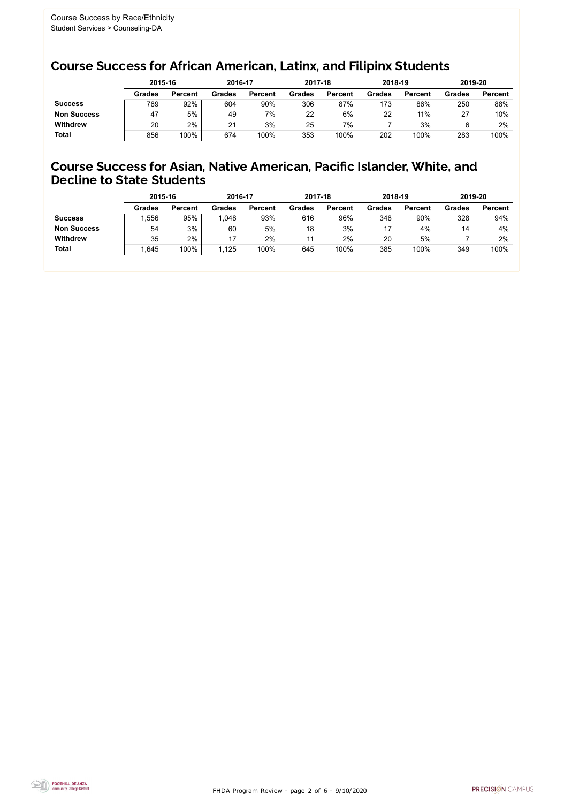FHDA Program Review - page 2 of 6 - 9/10/2020



## Course Success for African American, Latinx, and Filipinx Students

## Course Success for Asian, Native American, Pacific Islander, White, and Decline to State Students

|                    | 2015-16       |                | 2016-17       |                | 2017-18       |                | 2018-19       |                | 2019-20                    |                |
|--------------------|---------------|----------------|---------------|----------------|---------------|----------------|---------------|----------------|----------------------------|----------------|
|                    | <b>Grades</b> | <b>Percent</b> | <b>Grades</b> | <b>Percent</b> | <b>Grades</b> | <b>Percent</b> | <b>Grades</b> | <b>Percent</b> | <b>Grades</b>              | <b>Percent</b> |
| <b>Success</b>     | 789           | 92%            | 604           | 90%            | 306           | 87%            | 173           | 86%            | 250                        | 88%            |
| <b>Non Success</b> | 47            | 5%             | 49            | 7%             | 22            | 6%             | 22            | 11%            | ົ<br>$\mathbf{Z}^{\prime}$ | 10%            |
| <b>Withdrew</b>    | 20            | 2%             | 21            | 3%             | 25            | 7%             |               | 3%             |                            | 2%             |
| <b>Total</b>       | 856           | 100%           | 674           | 100%           | 353           | 100%           | 202           | 100%           | 283                        | 100%           |

|                    | 2015-16       |                | 2016-17       |                | 2017-18       |                | 2018-19       |                | 2019-20       |                |
|--------------------|---------------|----------------|---------------|----------------|---------------|----------------|---------------|----------------|---------------|----------------|
|                    | <b>Grades</b> | <b>Percent</b> | <b>Grades</b> | <b>Percent</b> | <b>Grades</b> | <b>Percent</b> | <b>Grades</b> | <b>Percent</b> | <b>Grades</b> | <b>Percent</b> |
| <b>Success</b>     | .556          | 95%            | 1,048         | 93%            | 616           | 96%            | 348           | 90%            | 328           | 94%            |
| <b>Non Success</b> | 54            | 3%             | 60            | 5%             | 18            | 3%             | 17            | 4%             | 14            | 4%             |
| <b>Withdrew</b>    | 35            | 2%             |               | 2%             |               | 2%             | 20            | 5%             |               | 2%             |
| <b>Total</b>       | 1,645         | 100%           | ,125          | 100%           | 645           | 100%           | 385           | 100%           | 349           | 100%           |
|                    |               |                |               |                |               |                |               |                |               |                |

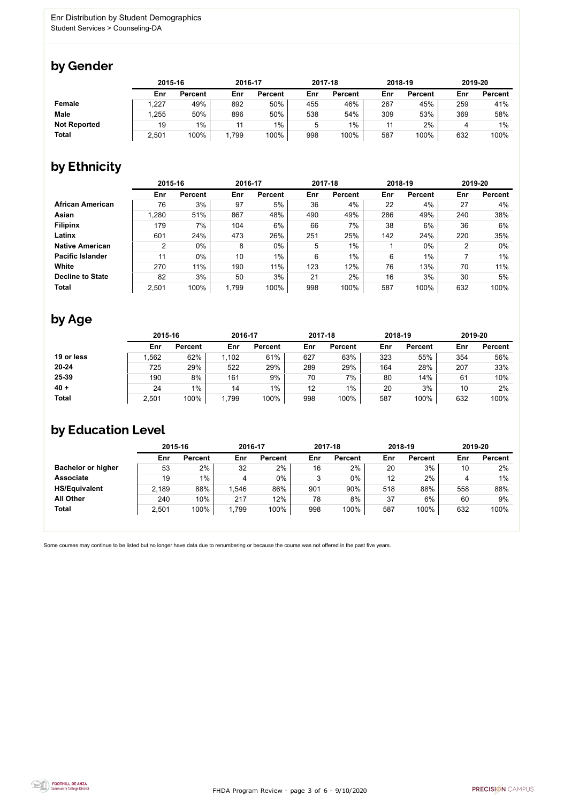

Some courses may continue to be listed but no longer have data due to renumbering or because the course was not offered in the past five years.



## by Gender

|                     | 2015-16 |                |      | 2016-17        |     | 2017-18        | 2018-19 |                | 2019-20 |                |
|---------------------|---------|----------------|------|----------------|-----|----------------|---------|----------------|---------|----------------|
|                     | Enr     | <b>Percent</b> | Enr  | <b>Percent</b> | Enr | <b>Percent</b> | Enr     | <b>Percent</b> | Enr     | <b>Percent</b> |
| <b>Female</b>       | 1,227   | 49%            | 892  | 50%            | 455 | 46%            | 267     | 45%            | 259     | 41%            |
| <b>Male</b>         | 1,255   | 50%            | 896  | 50%            | 538 | 54%            | 309     | 53%            | 369     | 58%            |
| <b>Not Reported</b> | 19      | 1%             | 11   | $1\%$          |     | $1\%$          | 11      | 2%             |         | 1%             |
| <b>Total</b>        | 2,501   | 100%           | ,799 | 100%           | 998 | 100%           | 587     | 100%           | 632     | 100%           |

## by Ethnicity

|                         |                | 2015-16        |       | 2016-17        |     | 2017-18        | 2018-19 |                | 2019-20 |                |
|-------------------------|----------------|----------------|-------|----------------|-----|----------------|---------|----------------|---------|----------------|
|                         | Enr            | <b>Percent</b> | Enr   | <b>Percent</b> | Enr | <b>Percent</b> | Enr     | <b>Percent</b> | Enr     | <b>Percent</b> |
| <b>African American</b> | 76             | 3%             | 97    | 5%             | 36  | 4%             | 22      | 4%             | 27      | 4%             |
| <b>Asian</b>            | 1,280          | 51%            | 867   | 48%            | 490 | 49%            | 286     | 49%            | 240     | 38%            |
| <b>Filipinx</b>         | 179            | 7%             | 104   | 6%             | 66  | 7%             | 38      | 6%             | 36      | 6%             |
| Latinx                  | 601            | 24%            | 473   | 26%            | 251 | 25%            | 142     | 24%            | 220     | 35%            |
| <b>Native American</b>  | $\overline{2}$ | 0%             | 8     | $0\%$          | 5   | $1\%$          |         | $0\%$          | ົ       | $0\%$          |
| <b>Pacific Islander</b> | 11             | $0\%$          | 10    | $1\%$          | 6   | 1%             | 6       | $1\%$          |         | $1\%$          |
| <b>White</b>            | 270            | 11%            | 190   | 11%            | 123 | 12%            | 76      | 13%            | 70      | 11%            |
| <b>Decline to State</b> | 82             | 3%             | 50    | 3%             | 21  | 2%             | 16      | 3%             | 30      | 5%             |
| <b>Total</b>            | 2,501          | 100%           | 1,799 | 100%           | 998 | 100%           | 587     | 100%           | 632     | 100%           |

## by Age

|              | 2015-16 |                |       | 2016-17        |     | 2017-18        |     | 2018-19        | 2019-20 |                |
|--------------|---------|----------------|-------|----------------|-----|----------------|-----|----------------|---------|----------------|
|              | Enr     | <b>Percent</b> | Enr   | <b>Percent</b> | Enr | <b>Percent</b> | Enr | <b>Percent</b> | Enr     | <b>Percent</b> |
| 19 or less   | ,562    | 62%            | 1,102 | 61%            | 627 | 63%            | 323 | 55%            | 354     | 56%            |
| $20 - 24$    | 725     | 29%            | 522   | 29%            | 289 | 29%            | 164 | 28%            | 207     | 33%            |
| 25-39        | 190     | 8%             | 161   | 9%             | 70  | 7%             | 80  | 14%            | 61      | 10%            |
| $40 +$       | 24      | $1\%$          | 14    | $1\%$          | 12  | $1\%$          | 20  | 3%             | 10      | 2%             |
| <b>Total</b> | 2,501   | 100%           | 1,799 | 100%           | 998 | 100%           | 587 | 100%           | 632     | 100%           |

## by Education Level

|                           | 2015-16 |                |       | 2016-17        |     | 2017-18        | 2018-19 |                | 2019-20 |                |
|---------------------------|---------|----------------|-------|----------------|-----|----------------|---------|----------------|---------|----------------|
|                           | Enr     | <b>Percent</b> | Enr   | <b>Percent</b> | Enr | <b>Percent</b> | Enr     | <b>Percent</b> | Enr     | <b>Percent</b> |
| <b>Bachelor or higher</b> | 53      | 2%             | 32    | 2%             | 16  | 2%             | 20      | 3%             | 10      | 2%             |
| <b>Associate</b>          | 19      | 1%             |       | $0\%$          |     | $0\%$          | 12      | 2%             |         | $1\%$          |
| <b>HS/Equivalent</b>      | 2,189   | 88%            | .546  | 86%            | 901 | 90%            | 518     | 88%            | 558     | 88%            |
| <b>All Other</b>          | 240     | 10%            | 217   | 12%            | 78  | 8%             | 37      | 6%             | 60      | 9%             |
| <b>Total</b>              | 2,501   | 100%           | 1,799 | 100%           | 998 | 100%           | 587     | 100%           | 632     | 100%           |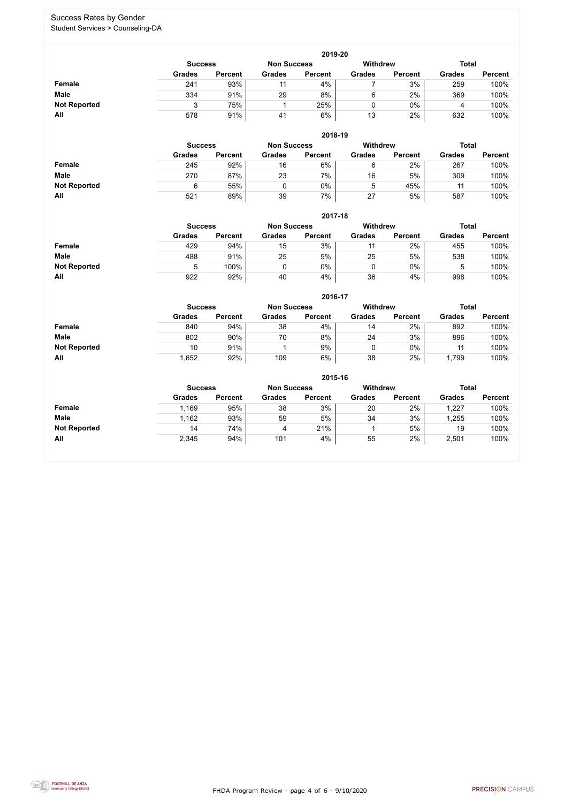FHDA Program Review - page 4 of 6 - 9/10/2020



### Success Rates by Gender Student Services > Counseling-DA

|                     | 2019-20                              |                |               |                |                 |                |               |                |  |  |  |  |  |
|---------------------|--------------------------------------|----------------|---------------|----------------|-----------------|----------------|---------------|----------------|--|--|--|--|--|
|                     | <b>Non Success</b><br><b>Success</b> |                |               |                | <b>Withdrew</b> |                | <b>Total</b>  |                |  |  |  |  |  |
|                     | <b>Grades</b>                        | <b>Percent</b> | <b>Grades</b> | <b>Percent</b> | <b>Grades</b>   | <b>Percent</b> | <b>Grades</b> | <b>Percent</b> |  |  |  |  |  |
| Female              | 241                                  | 93%            | 11            | 4%             |                 | 3%             | 259           | 100%           |  |  |  |  |  |
| <b>Male</b>         | 334                                  | 91%            | 29            | 8%             | 6               | 2%             | 369           | 100%           |  |  |  |  |  |
| <b>Not Reported</b> |                                      | 75%            |               | 25%            |                 | $0\%$          |               | 100%           |  |  |  |  |  |
| All                 | 578                                  | 91%            | 41            | 6%             | 13              | 2%             | 632           | 100%           |  |  |  |  |  |

|                     |                | 2018-19        |                    |                |                 |                |               |                |  |  |  |  |  |  |
|---------------------|----------------|----------------|--------------------|----------------|-----------------|----------------|---------------|----------------|--|--|--|--|--|--|
|                     | <b>Success</b> |                | <b>Non Success</b> |                | <b>Withdrew</b> |                | <b>Total</b>  |                |  |  |  |  |  |  |
|                     | <b>Grades</b>  | <b>Percent</b> | <b>Grades</b>      | <b>Percent</b> | <b>Grades</b>   | <b>Percent</b> | <b>Grades</b> | <b>Percent</b> |  |  |  |  |  |  |
| Female              | 245            | 92%            | 16                 | 6%             | 6               | 2%             | 267           | 100%           |  |  |  |  |  |  |
| <b>Male</b>         | 270            | 87%            | 23                 | 7%             | 16              | 5%             | 309           | 100%           |  |  |  |  |  |  |
| <b>Not Reported</b> | 6              | 55%            |                    | 0%             | b.              | 45%            | 11            | 100%           |  |  |  |  |  |  |
| All                 | 521            | 89%            | 39                 | 7%             | 27              | 5%             | 587           | 100%           |  |  |  |  |  |  |

|                     |                | 2017-18        |                    |                |                 |                |               |                |  |  |  |  |  |  |
|---------------------|----------------|----------------|--------------------|----------------|-----------------|----------------|---------------|----------------|--|--|--|--|--|--|
|                     | <b>Success</b> |                | <b>Non Success</b> |                | <b>Withdrew</b> |                | <b>Total</b>  |                |  |  |  |  |  |  |
|                     | <b>Grades</b>  | <b>Percent</b> | <b>Grades</b>      | <b>Percent</b> | <b>Grades</b>   | <b>Percent</b> | <b>Grades</b> | <b>Percent</b> |  |  |  |  |  |  |
| Female              | 429            | 94%            | 15                 | 3%             | 11              | 2%             | 455           | 100%           |  |  |  |  |  |  |
| <b>Male</b>         | 488            | 91%            | 25                 | 5%             | 25              | 5%             | 538           | 100%           |  |  |  |  |  |  |
| <b>Not Reported</b> | 5              | 100%           |                    | 0%             |                 | $0\%$          | ხ             | 100%           |  |  |  |  |  |  |
| All                 | 922            | 92%            | 40                 | 4%             | 36              | 4%             | 998           | 100%           |  |  |  |  |  |  |

|                     |               | 2016-17                                                 |               |                |               |                |               |                |  |  |
|---------------------|---------------|---------------------------------------------------------|---------------|----------------|---------------|----------------|---------------|----------------|--|--|
|                     |               | <b>Withdrew</b><br><b>Non Success</b><br><b>Success</b> |               |                |               |                |               |                |  |  |
|                     | <b>Grades</b> | <b>Percent</b>                                          | <b>Grades</b> | <b>Percent</b> | <b>Grades</b> | <b>Percent</b> | <b>Grades</b> | <b>Percent</b> |  |  |
| <b>Female</b>       | 840           | 94%                                                     | 38            | 4%             | 14            | $2\%$          | 892           | 100%           |  |  |
| <b>Male</b>         | 802           | 90%                                                     | 70            | 8%             | 24            | 3%             | 896           | 100%           |  |  |
| <b>Not Reported</b> | 10            | 91%                                                     |               | 9%             | ν             | $0\%$          | 11            | 100%           |  |  |
| All                 | ,652          | 92%                                                     | 109           | 6%             | 38            | 2%             | 1,799         | 100%           |  |  |

|                     | 2015-16        |                |                    |                |               |                |               |                |  |
|---------------------|----------------|----------------|--------------------|----------------|---------------|----------------|---------------|----------------|--|
|                     | <b>Success</b> |                | <b>Non Success</b> |                | Withdrew      |                | <b>Total</b>  |                |  |
|                     | <b>Grades</b>  | <b>Percent</b> | <b>Grades</b>      | <b>Percent</b> | <b>Grades</b> | <b>Percent</b> | <b>Grades</b> | <b>Percent</b> |  |
| <b>Female</b>       | 1,169          | 95%            | 38                 | 3%             | 20            | 2%             | 1,227         | 100%           |  |
| <b>Male</b>         | 1,162          | 93%            | 59                 | 5%             | 34            | 3%             | ,255          | 100%           |  |
| <b>Not Reported</b> | 14             | 74%            | 4                  | 21%            |               | 5%             | 19            | 100%           |  |
| All                 | 2,345          | 94%            | 101                | 4%             | 55            | 2%             | 2,501         | 100%           |  |

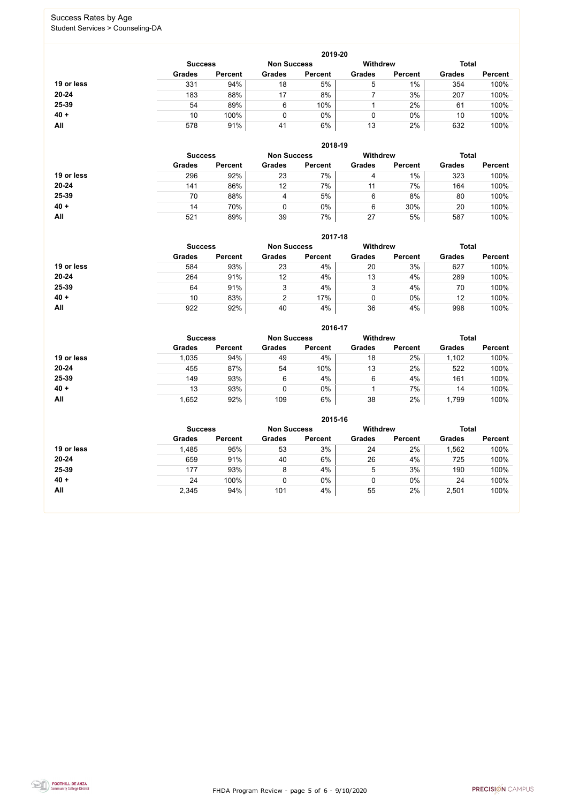FHDA Program Review - page 5 of 6 - 9/10/2020



### Success Rates by Age Student Services > Counseling-DA

|            | 2019-20        |                    |               |                |               |                |               |                |  |
|------------|----------------|--------------------|---------------|----------------|---------------|----------------|---------------|----------------|--|
|            | <b>Success</b> | <b>Non Success</b> |               | Withdrew       |               | <b>Total</b>   |               |                |  |
|            | <b>Grades</b>  | <b>Percent</b>     | <b>Grades</b> | <b>Percent</b> | <b>Grades</b> | <b>Percent</b> | <b>Grades</b> | <b>Percent</b> |  |
| 19 or less | 331            | 94%                | 18            | 5%             | 5             | $1\%$          | 354           | 100%           |  |
| 20-24      | 183            | 88%                | 17            | 8%             |               | 3%             | 207           | 100%           |  |
| 25-39      | 54             | 89%                | 6             | 10%            |               | 2%             | 61            | 100%           |  |
| $40 +$     | 10             | 100%               | 0             | $0\%$          | υ             | $0\%$          | 10            | 100%           |  |
| All        | 578            | 91%                | 41            | 6%             | 13            | 2%             | 632           | 100%           |  |

|            | 2018-19        |                    |               |                 |               |                |               |                |  |
|------------|----------------|--------------------|---------------|-----------------|---------------|----------------|---------------|----------------|--|
|            | <b>Success</b> | <b>Non Success</b> |               | <b>Withdrew</b> |               | <b>Total</b>   |               |                |  |
|            | <b>Grades</b>  | <b>Percent</b>     | <b>Grades</b> | <b>Percent</b>  | <b>Grades</b> | <b>Percent</b> | <b>Grades</b> | <b>Percent</b> |  |
| 19 or less | 296            | 92%                | 23            | 7%              | 4             | $1\%$          | 323           | 100%           |  |
| $20 - 24$  | 141            | 86%                | 12            | 7%              | 11            | 7%             | 164           | 100%           |  |
| 25-39      | 70             | 88%                | 4             | 5%              | 6             | 8%             | 80            | 100%           |  |
| $40 +$     | 14             | 70%                |               | $0\%$           | 6             | 30%            | 20            | 100%           |  |
| All        | 521            | 89%                | 39            | 7%              | 27            | 5%             | 587           | 100%           |  |

### **2017-18**

|            |                |                    |               | 2017-18         |               |                |               |                |
|------------|----------------|--------------------|---------------|-----------------|---------------|----------------|---------------|----------------|
|            | <b>Success</b> | <b>Non Success</b> |               | <b>Withdrew</b> |               | <b>Total</b>   |               |                |
|            | <b>Grades</b>  | <b>Percent</b>     | <b>Grades</b> | <b>Percent</b>  | <b>Grades</b> | <b>Percent</b> | <b>Grades</b> | <b>Percent</b> |
| 19 or less | 584            | 93%                | 23            | 4%              | 20            | 3%             | 627           | 100%           |
| $20 - 24$  | 264            | 91%                | 12            | 4%              | 13            | 4%             | 289           | 100%           |
| 25-39      | 64             | 91%                | 3             | 4%              | ο<br>J        | 4%             | 70            | 100%           |
| $40 +$     | 10             | 83%                |               | 17%             |               | $0\%$          | 12            | 100%           |
| All        | 922            | 92%                | 40            | 4%              | 36            | 4%             | 998           | 100%           |

#### **2016-17**



|            |                |                    |               | <b>ZUID-17</b>  |               |                |               |                |
|------------|----------------|--------------------|---------------|-----------------|---------------|----------------|---------------|----------------|
|            | <b>Success</b> | <b>Non Success</b> |               | <b>Withdrew</b> |               | <b>Total</b>   |               |                |
|            | <b>Grades</b>  | <b>Percent</b>     | <b>Grades</b> | <b>Percent</b>  | <b>Grades</b> | <b>Percent</b> | <b>Grades</b> | <b>Percent</b> |
| 19 or less | 1,035          | 94%                | 49            | 4%              | 18            | 2%             | 1,102         | 100%           |
| 20-24      | 455            | 87%                | 54            | 10%             | 13            | 2%             | 522           | 100%           |
| 25-39      | 149            | 93%                | 6             | 4%              | 6             | 4%             | 161           | 100%           |
| $40 +$     | 13             | 93%                |               | $0\%$           |               | 7%             | 14            | 100%           |
| All        | 1,652          | 92%                | 109           | 6%              | 38            | 2%             | 1,799         | 100%           |

|            |                                      |                |               | 2015-16        |                 |                |               |                |
|------------|--------------------------------------|----------------|---------------|----------------|-----------------|----------------|---------------|----------------|
|            | <b>Non Success</b><br><b>Success</b> |                |               |                | <b>Withdrew</b> |                | <b>Total</b>  |                |
|            | <b>Grades</b>                        | <b>Percent</b> | <b>Grades</b> | <b>Percent</b> | <b>Grades</b>   | <b>Percent</b> | <b>Grades</b> | <b>Percent</b> |
| 19 or less | 1,485                                | 95%            | 53            | 3%             | 24              | 2%             | 1,562         | 100%           |
| $20 - 24$  | 659                                  | 91%            | 40            | 6%             | 26              | 4%             | 725           | 100%           |
| 25-39      | 177                                  | 93%            | 8             | 4%             | 5               | 3%             | 190           | 100%           |
| $40 +$     | 24                                   | 100%           |               | $0\%$          |                 | $0\%$          | 24            | 100%           |
| All        | 2,345                                | 94%            | 101           | 4%             | 55              | 2%             | 2,501         | 100%           |